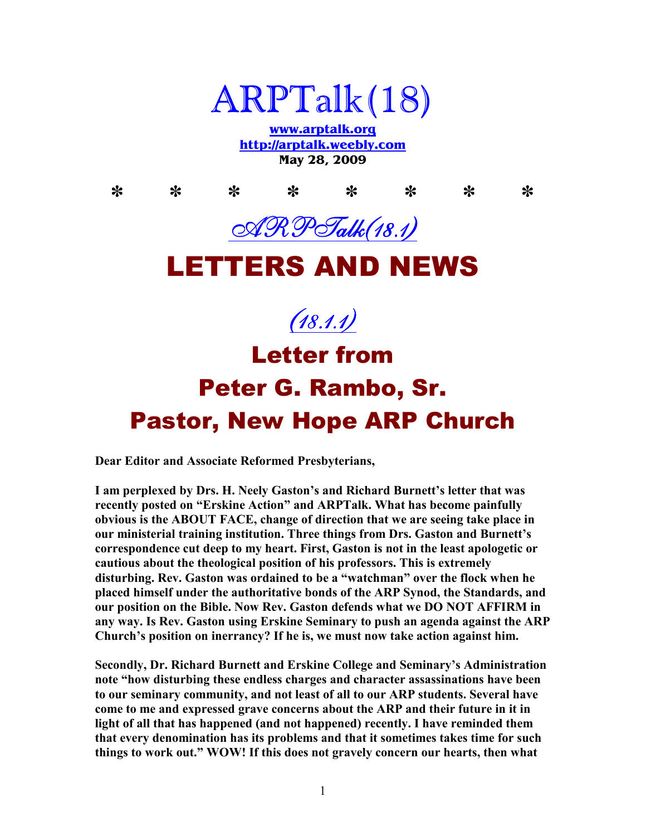

**www.arptalk.org http://arptalk.weebly.com May 28, 2009** 

**\* \* \* \* \* \* \* \***  ARP Talk (18.1) LETTERS AND NEWS  $(18.1.1)$ Letter from Peter G. Rambo, Sr. Pastor, New Hope ARP Church

**Dear Editor and Associate Reformed Presbyterians,** 

I am perplexed by Drs. H. Neely Gaston's and Richard Burnett's letter that was **recently posted on "Erskine Action" and ARPTalk. What has become painfully obvious is the ABOUT FACE, change of direction that we are seeing take place in our ministerial training institution. Three things from Drs. Gaston and Burnett's correspondence cut deep to my heart. First, Gaston is not in the least apologetic or cautious about the theological position of his professors. This is extremely disturbing. Rev. Gaston was ordained to be a "watchman" over the flock when he placed himself under the authoritative bonds of the ARP Synod, the Standards, and our position on the Bible. Now Rev. Gaston defends what we DO NOT AFFIRM in any way. Is Rev. Gaston using Erskine Seminary to push an agenda against the ARP Church's position on inerrancy? If he is, we must now take action against him.** 

**Secondly, Dr. Richard Burnett and Erskine College and Seminary's Administration note "how disturbing these endless charges and character assassinations have been to our seminary community, and not least of all to our ARP students. Several have come to me and expressed grave concerns about the ARP and their future in it in light of all that has happened (and not happened) recently. I have reminded them that every denomination has its problems and that it sometimes takes time for such things to work out." WOW! If this does not gravely concern our hearts, then what**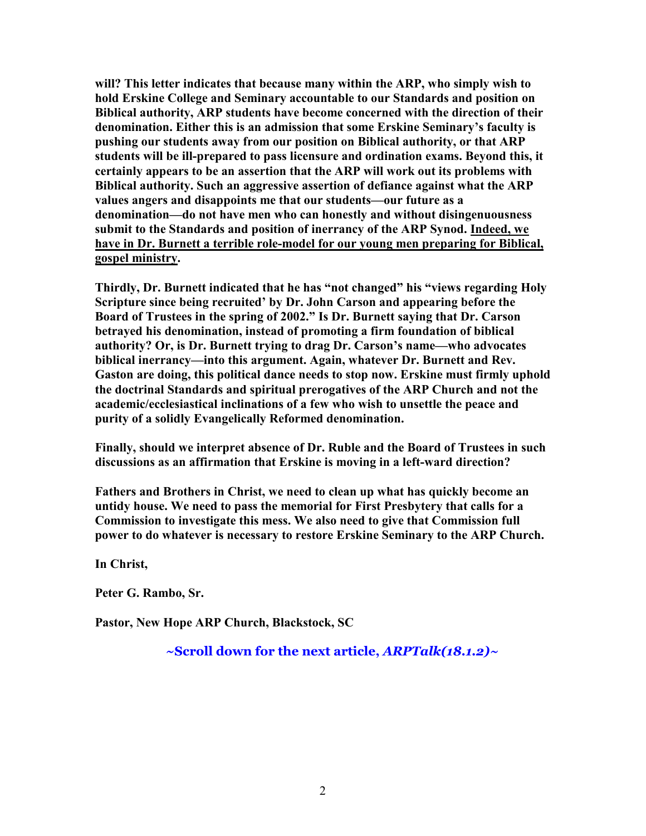**will? This letter indicates that because many within the ARP, who simply wish to hold Erskine College and Seminary accountable to our Standards and position on Biblical authority, ARP students have become concerned with the direction of their denomination. Either this is an admission that some Erskine Seminary's faculty is pushing our students away from our position on Biblical authority, or that ARP students will be ill-prepared to pass licensure and ordination exams. Beyond this, it certainly appears to be an assertion that the ARP will work out its problems with Biblical authority. Such an aggressive assertion of defiance against what the ARP values angers and disappoints me that our students—our future as a denomination—do not have men who can honestly and without disingenuousness submit to the Standards and position of inerrancy of the ARP Synod. Indeed, we have in Dr. Burnett a terrible role-model for our young men preparing for Biblical, gospel ministry.** 

**Thirdly, Dr. Burnett indicated that he has "not changed" his "views regarding Holy Scripture since being recruited' by Dr. John Carson and appearing before the Board of Trustees in the spring of 2002." Is Dr. Burnett saying that Dr. Carson betrayed his denomination, instead of promoting a firm foundation of biblical authority? Or, is Dr. Burnett trying to drag Dr. Carson's name—who advocates biblical inerrancy—into this argument. Again, whatever Dr. Burnett and Rev. Gaston are doing, this political dance needs to stop now. Erskine must firmly uphold the doctrinal Standards and spiritual prerogatives of the ARP Church and not the academic/ecclesiastical inclinations of a few who wish to unsettle the peace and purity of a solidly Evangelically Reformed denomination.** 

**Finally, should we interpret absence of Dr. Ruble and the Board of Trustees in such discussions as an affirmation that Erskine is moving in a left-ward direction?** 

**Fathers and Brothers in Christ, we need to clean up what has quickly become an untidy house. We need to pass the memorial for First Presbytery that calls for a Commission to investigate this mess. We also need to give that Commission full power to do whatever is necessary to restore Erskine Seminary to the ARP Church.** 

**In Christ,** 

**Peter G. Rambo, Sr.** 

Pastor, New Hope ARP Church, Blackstock, SC

**~Scroll down for the next article,** *ARPTalk(18.1.2)~*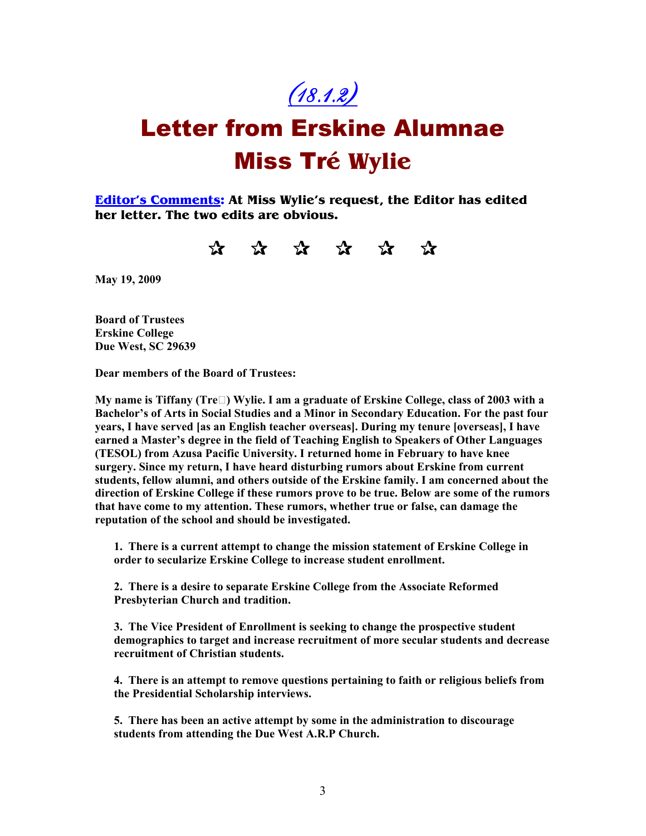$(18.1.2)$ 

## Letter from Erskine Alumnae Miss Tr**é Wylie**

**Editor's Comments: At Miss Wylie's request, the Editor has edited her letter. The two edits are obvious.** 

qqqqqq

**May 19, 2009** 

**Board of Trustees Erskine College Due West, SC 29639** 

**Dear members of the Board of Trustees:** 

**My name is Tiffany (Tre) Wylie. I am a graduate of Erskine College, class of 2003 with a Bachelor's of Arts in Social Studies and a Minor in Secondary Education. For the past four years, I have served [as an English teacher overseas]. During my tenure [overseas], I have earned a Master's degree in the field of Teaching English to Speakers of Other Languages (TESOL) from Azusa Pacific University. I returned home in February to have knee surgery. Since my return, I have heard disturbing rumors about Erskine from current students, fellow alumni, and others outside of the Erskine family. I am concerned about the direction of Erskine College if these rumors prove to be true. Below are some of the rumors that have come to my attention. These rumors, whether true or false, can damage the reputation of the school and should be investigated.** 

**1. There is a current attempt to change the mission statement of Erskine College in order to secularize Erskine College to increase student enrollment.** 

**2. There is a desire to separate Erskine College from the Associate Reformed Presbyterian Church and tradition.** 

**3. The Vice President of Enrollment is seeking to change the prospective student demographics to target and increase recruitment of more secular students and decrease recruitment of Christian students.** 

**4. There is an attempt to remove questions pertaining to faith or religious beliefs from the Presidential Scholarship interviews.** 

**5. There has been an active attempt by some in the administration to discourage students from attending the Due West A.R.P Church.**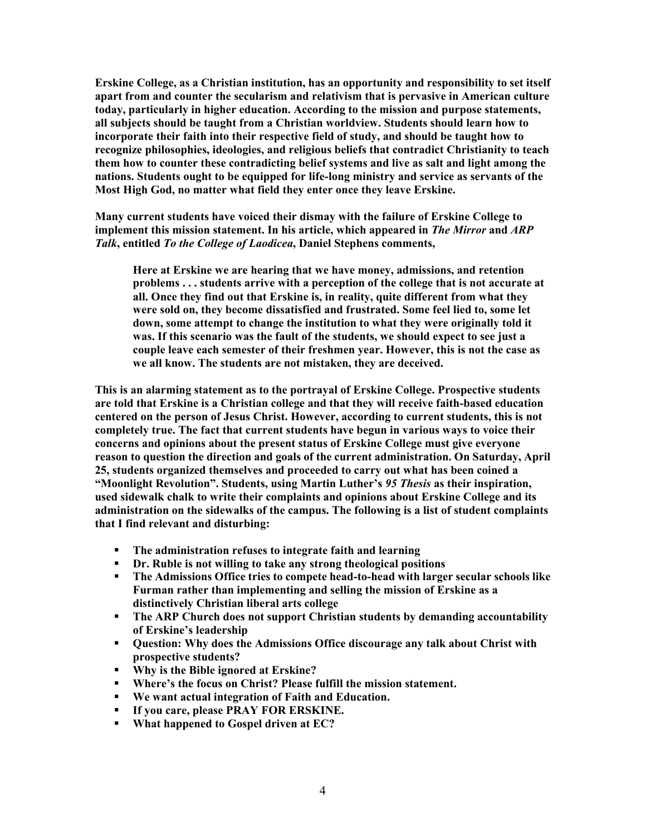**Erskine College, as a Christian institution, has an opportunity and responsibility to set itself apart from and counter the secularism and relativism that is pervasive in American culture today, particularly in higher education. According to the mission and purpose statements, all subjects should be taught from a Christian worldview. Students should learn how to incorporate their faith into their respective field of study, and should be taught how to recognize philosophies, ideologies, and religious beliefs that contradict Christianity to teach them how to counter these contradicting belief systems and live as salt and light among the nations. Students ought to be equipped for life-long ministry and service as servants of the Most High God, no matter what field they enter once they leave Erskine.** 

**Many current students have voiced their dismay with the failure of Erskine College to implement this mission statement. In his article, which appeared in** *The Mirror* **and** *ARP Talk***, entitled** *To the College of Laodicea***, Daniel Stephens comments,** 

**Here at Erskine we are hearing that we have money, admissions, and retention problems . . . students arrive with a perception of the college that is not accurate at all. Once they find out that Erskine is, in reality, quite different from what they were sold on, they become dissatisfied and frustrated. Some feel lied to, some let down, some attempt to change the institution to what they were originally told it was. If this scenario was the fault of the students, we should expect to see just a couple leave each semester of their freshmen year. However, this is not the case as we all know. The students are not mistaken, they are deceived.** 

**This is an alarming statement as to the portrayal of Erskine College. Prospective students are told that Erskine is a Christian college and that they will receive faith-based education centered on the person of Jesus Christ. However, according to current students, this is not completely true. The fact that current students have begun in various ways to voice their concerns and opinions about the present status of Erskine College must give everyone reason to question the direction and goals of the current administration. On Saturday, April 25, students organized themselves and proceeded to carry out what has been coined a "Moonlight Revolution". Students, using Martin Luther's** *95 Thesis* **as their inspiration, used sidewalk chalk to write their complaints and opinions about Erskine College and its administration on the sidewalks of the campus. The following is a list of student complaints that I find relevant and disturbing:** 

- **The administration refuses to integrate faith and learning**
- **Dr. Ruble is not willing to take any strong theological positions**
- **The Admissions Office tries to compete head-to-head with larger secular schools like Furman rather than implementing and selling the mission of Erskine as a distinctively Christian liberal arts college**
- **The ARP Church does not support Christian students by demanding accountability of Erskine's leadership**
- **Question: Why does the Admissions Office discourage any talk about Christ with prospective students?**
- **Why is the Bible ignored at Erskine?**
- **Where's the focus on Christ? Please fulfill the mission statement.**
- **We want actual integration of Faith and Education.**
- **If you care, please PRAY FOR ERSKINE.**
- **What happened to Gospel driven at EC?**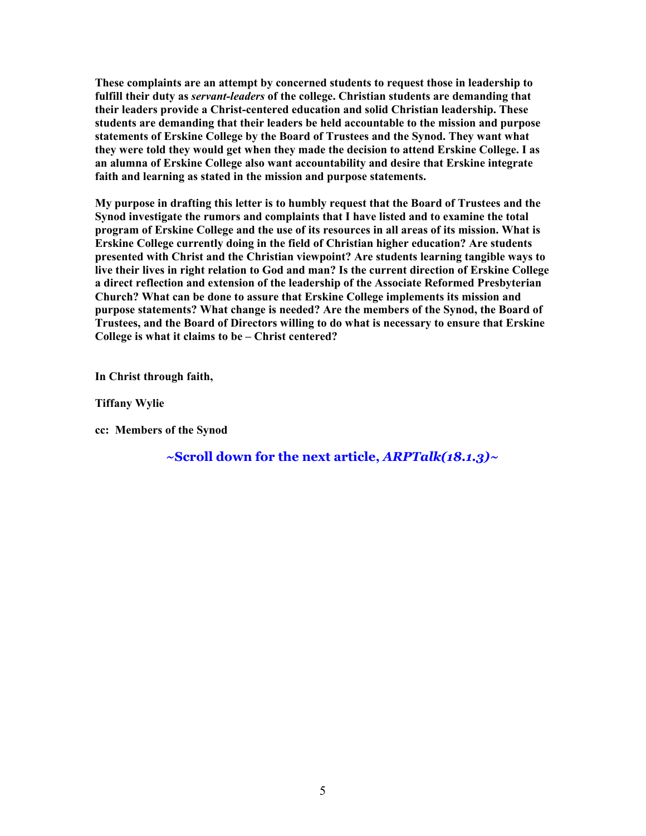**These complaints are an attempt by concerned students to request those in leadership to fulfill their duty as** *servant-leaders* **of the college. Christian students are demanding that their leaders provide a Christ-centered education and solid Christian leadership. These students are demanding that their leaders be held accountable to the mission and purpose statements of Erskine College by the Board of Trustees and the Synod. They want what they were told they would get when they made the decision to attend Erskine College. I as an alumna of Erskine College also want accountability and desire that Erskine integrate faith and learning as stated in the mission and purpose statements.** 

**My purpose in drafting this letter is to humbly request that the Board of Trustees and the Synod investigate the rumors and complaints that I have listed and to examine the total program of Erskine College and the use of its resources in all areas of its mission. What is Erskine College currently doing in the field of Christian higher education? Are students presented with Christ and the Christian viewpoint? Are students learning tangible ways to live their lives in right relation to God and man? Is the current direction of Erskine College a direct reflection and extension of the leadership of the Associate Reformed Presbyterian Church? What can be done to assure that Erskine College implements its mission and purpose statements? What change is needed? Are the members of the Synod, the Board of Trustees, and the Board of Directors willing to do what is necessary to ensure that Erskine College is what it claims to be – Christ centered?** 

**In Christ through faith,** 

**Tiffany Wylie** 

**cc: Members of the Synod** 

**~Scroll down for the next article,** *ARPTalk(18.1.3)~*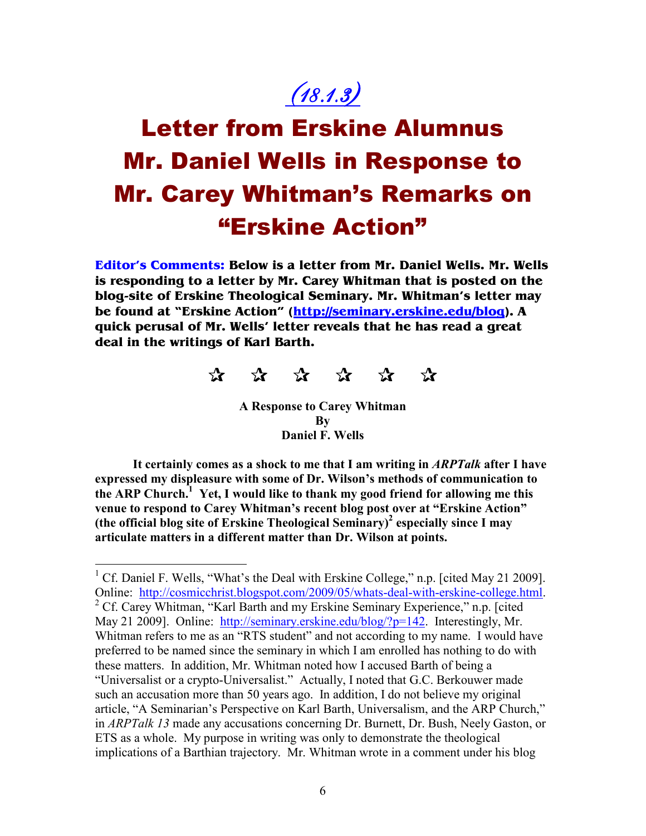## (18.1.3)

## Letter from Erskine Alumnus Mr. Daniel Wells in Response to Mr. Carey Whitman's Remarks on "Erskine Action"

**Editor's Comments: Below is a letter from Mr. Daniel Wells. Mr. Wells is responding to a letter by Mr. Carey Whitman that is posted on the blog-site of Erskine Theological Seminary. Mr. Whitman's letter may be found at "Erskine Action" (http://seminary.erskine.edu/blog). A quick perusal of Mr. Wells' letter reveals that he has read a great deal in the writings of Karl Barth.** 



**A Response to Carey Whitman By Daniel F. Wells** 

**It certainly comes as a shock to me that I am writing in** *ARPTalk* **after I have expressed my displeasure with some of Dr. Wilson's methods of communication to the ARP Church.<sup>1</sup> Yet, I would like to thank my good friend for allowing me this venue to respond to Carey Whitman's recent blog post over at "Erskine Action" (the official blog site of Erskine Theological Seminary)<sup>2</sup> especially since I may articulate matters in a different matter than Dr. Wilson at points.** 

 $\overline{a}$ <sup>1</sup> Cf. Daniel F. Wells, "What's the Deal with Erskine College," n.p. [cited May 21 2009]. Online: http://cosmicchrist.blogspot.com/2009/05/whats-deal-with-erskine-college.html. <sup>2</sup> Cf. Carey Whitman, "Karl Barth and my Erskine Seminary Experience," n.p. [cited May 21 2009]. Online: http://seminary.erskine.edu/blog/?p=142. Interestingly, Mr. Whitman refers to me as an "RTS student" and not according to my name. I would have preferred to be named since the seminary in which I am enrolled has nothing to do with these matters. In addition, Mr. Whitman noted how I accused Barth of being a "Universalist or a crypto-Universalist." Actually, I noted that G.C. Berkouwer made such an accusation more than 50 years ago. In addition, I do not believe my original article, "A Seminarian's Perspective on Karl Barth, Universalism, and the ARP Church," in *ARPTalk 13* made any accusations concerning Dr. Burnett, Dr. Bush, Neely Gaston, or ETS as a whole. My purpose in writing was only to demonstrate the theological implications of a Barthian trajectory. Mr. Whitman wrote in a comment under his blog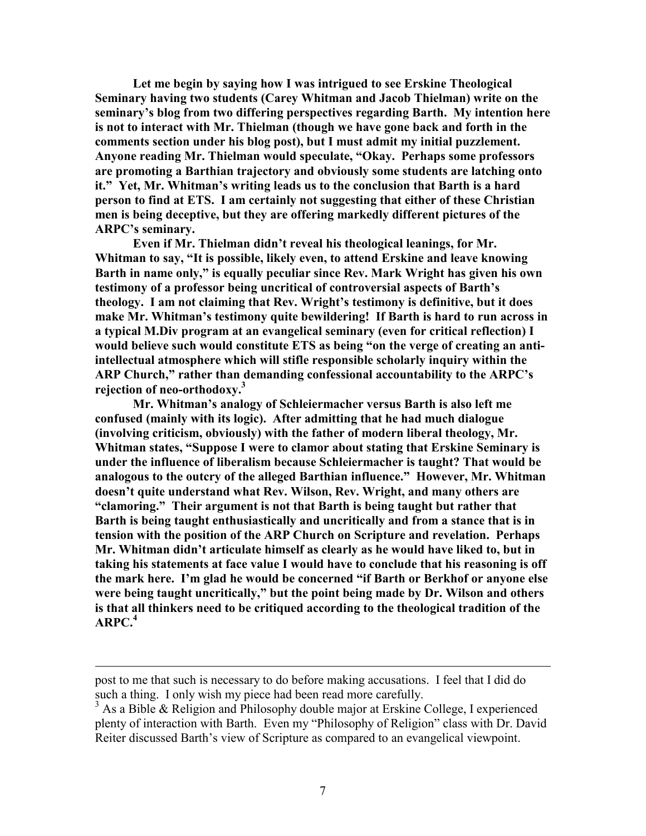**Let me begin by saying how I was intrigued to see Erskine Theological Seminary having two students (Carey Whitman and Jacob Thielman) write on the seminary's blog from two differing perspectives regarding Barth. My intention here is not to interact with Mr. Thielman (though we have gone back and forth in the comments section under his blog post), but I must admit my initial puzzlement. Anyone reading Mr. Thielman would speculate, "Okay. Perhaps some professors are promoting a Barthian trajectory and obviously some students are latching onto it." Yet, Mr. Whitman's writing leads us to the conclusion that Barth is a hard person to find at ETS. I am certainly not suggesting that either of these Christian men is being deceptive, but they are offering markedly different pictures of the ARPC's seminary.** 

 **Even if Mr. Thielman didn't reveal his theological leanings, for Mr. Whitman to say, "It is possible, likely even, to attend Erskine and leave knowing Barth in name only," is equally peculiar since Rev. Mark Wright has given his own testimony of a professor being uncritical of controversial aspects of Barth's theology. I am not claiming that Rev. Wright's testimony is definitive, but it does make Mr. Whitman's testimony quite bewildering! If Barth is hard to run across in a typical M.Div program at an evangelical seminary (even for critical reflection) I would believe such would constitute ETS as being "on the verge of creating an antiintellectual atmosphere which will stifle responsible scholarly inquiry within the ARP Church," rather than demanding confessional accountability to the ARPC's rejection of neo-orthodoxy.<sup>3</sup>** 

 **Mr. Whitman's analogy of Schleiermacher versus Barth is also left me confused (mainly with its logic). After admitting that he had much dialogue (involving criticism, obviously) with the father of modern liberal theology, Mr. Whitman states, "Suppose I were to clamor about stating that Erskine Seminary is under the influence of liberalism because Schleiermacher is taught? That would be analogous to the outcry of the alleged Barthian influence." However, Mr. Whitman doesn't quite understand what Rev. Wilson, Rev. Wright, and many others are "clamoring." Their argument is not that Barth is being taught but rather that Barth is being taught enthusiastically and uncritically and from a stance that is in tension with the position of the ARP Church on Scripture and revelation. Perhaps Mr. Whitman didn't articulate himself as clearly as he would have liked to, but in taking his statements at face value I would have to conclude that his reasoning is off the mark here. I'm glad he would be concerned "if Barth or Berkhof or anyone else were being taught uncritically," but the point being made by Dr. Wilson and others is that all thinkers need to be critiqued according to the theological tradition of the ARPC.<sup>4</sup>**

 $\overline{a}$ 

post to me that such is necessary to do before making accusations. I feel that I did do such a thing. I only wish my piece had been read more carefully.

<sup>&</sup>lt;sup>3</sup> As a Bible & Religion and Philosophy double major at Erskine College, I experienced plenty of interaction with Barth. Even my "Philosophy of Religion" class with Dr. David Reiter discussed Barth's view of Scripture as compared to an evangelical viewpoint.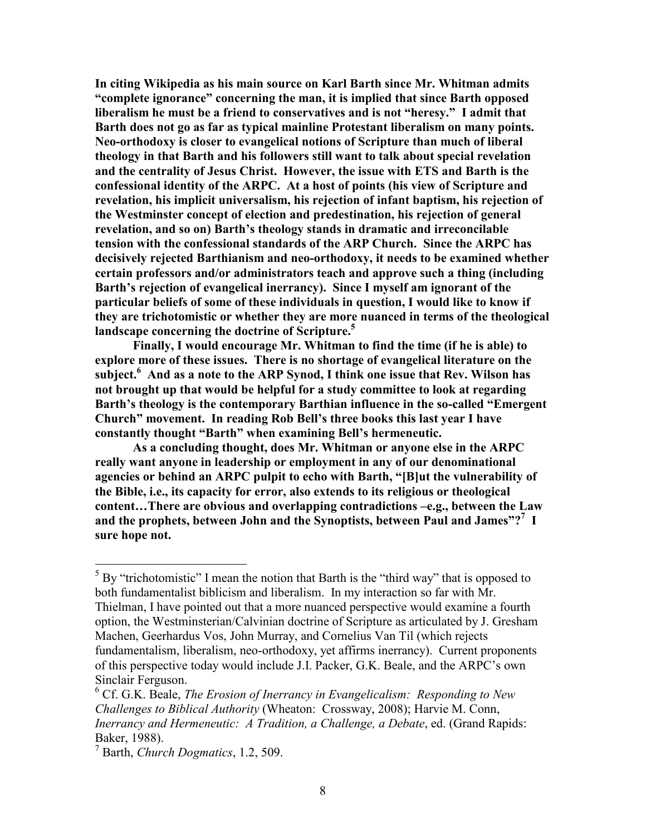**In citing Wikipedia as his main source on Karl Barth since Mr. Whitman admits "complete ignorance" concerning the man, it is implied that since Barth opposed liberalism he must be a friend to conservatives and is not "heresy." I admit that Barth does not go as far as typical mainline Protestant liberalism on many points. eo-orthodoxy is closer to evangelical notions of Scripture than much of liberal theology in that Barth and his followers still want to talk about special revelation and the centrality of Jesus Christ. However, the issue with ETS and Barth is the confessional identity of the ARPC. At a host of points (his view of Scripture and revelation, his implicit universalism, his rejection of infant baptism, his rejection of the Westminster concept of election and predestination, his rejection of general revelation, and so on) Barth's theology stands in dramatic and irreconcilable tension with the confessional standards of the ARP Church. Since the ARPC has decisively rejected Barthianism and neo-orthodoxy, it needs to be examined whether certain professors and/or administrators teach and approve such a thing (including Barth's rejection of evangelical inerrancy). Since I myself am ignorant of the particular beliefs of some of these individuals in question, I would like to know if they are trichotomistic or whether they are more nuanced in terms of the theological landscape concerning the doctrine of Scripture.<sup>5</sup>**

 **Finally, I would encourage Mr. Whitman to find the time (if he is able) to explore more of these issues. There is no shortage of evangelical literature on the subject.<sup>6</sup> And as a note to the ARP Synod, I think one issue that Rev. Wilson has not brought up that would be helpful for a study committee to look at regarding Barth's theology is the contemporary Barthian influence in the so-called "Emergent Church" movement. In reading Rob Bell's three books this last year I have constantly thought "Barth" when examining Bell's hermeneutic.** 

 **As a concluding thought, does Mr. Whitman or anyone else in the ARPC really want anyone in leadership or employment in any of our denominational agencies or behind an ARPC pulpit to echo with Barth, "[B]ut the vulnerability of the Bible, i.e., its capacity for error, also extends to its religious or theological content…There are obvious and overlapping contradictions –e.g., between the Law and the prophets, between John and the Synoptists, between Paul and James"?<sup>7</sup> I sure hope not.** 

 $\overline{a}$ 

 $<sup>5</sup>$  By "trichotomistic" I mean the notion that Barth is the "third way" that is opposed to</sup> both fundamentalist biblicism and liberalism. In my interaction so far with Mr. Thielman, I have pointed out that a more nuanced perspective would examine a fourth option, the Westminsterian/Calvinian doctrine of Scripture as articulated by J. Gresham Machen, Geerhardus Vos, John Murray, and Cornelius Van Til (which rejects fundamentalism, liberalism, neo-orthodoxy, yet affirms inerrancy). Current proponents of this perspective today would include J.I. Packer, G.K. Beale, and the ARPC's own Sinclair Ferguson.

<sup>&</sup>lt;sup>6</sup> Cf. G.K. Beale, *The Erosion of Inerrancy in Evangelicalism: Responding to New Challenges to Biblical Authority* (Wheaton: Crossway, 2008); Harvie M. Conn, *Inerrancy and Hermeneutic: A Tradition, a Challenge, a Debate*, ed. (Grand Rapids: Baker, 1988).

<sup>7</sup> Barth, *Church Dogmatics*, 1.2, 509.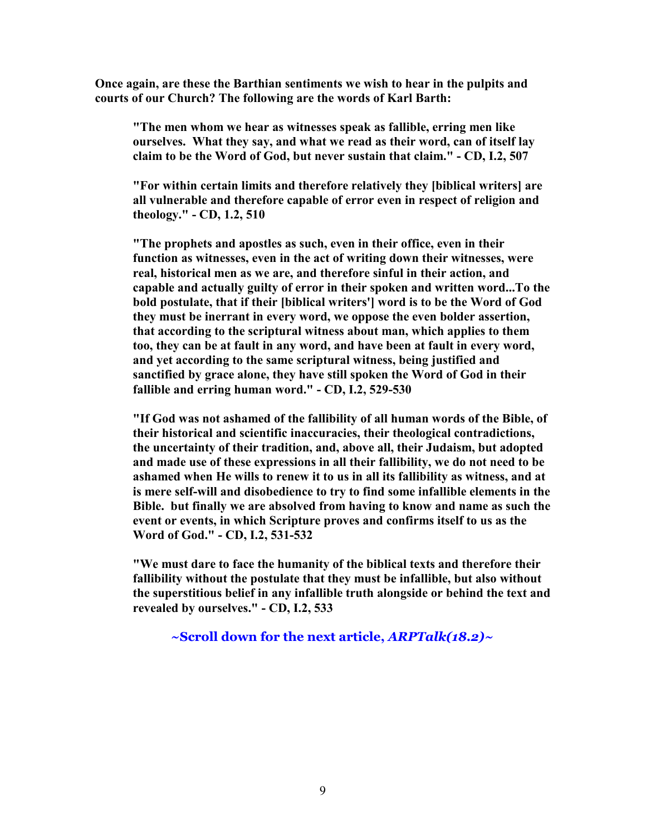**Once again, are these the Barthian sentiments we wish to hear in the pulpits and courts of our Church? The following are the words of Karl Barth:** 

**"The men whom we hear as witnesses speak as fallible, erring men like ourselves. What they say, and what we read as their word, can of itself lay claim to be the Word of God, but never sustain that claim." - CD, I.2, 507** 

**"For within certain limits and therefore relatively they [biblical writers] are all vulnerable and therefore capable of error even in respect of religion and theology." - CD, 1.2, 510** 

**"The prophets and apostles as such, even in their office, even in their function as witnesses, even in the act of writing down their witnesses, were real, historical men as we are, and therefore sinful in their action, and capable and actually guilty of error in their spoken and written word...To the bold postulate, that if their [biblical writers'] word is to be the Word of God they must be inerrant in every word, we oppose the even bolder assertion, that according to the scriptural witness about man, which applies to them too, they can be at fault in any word, and have been at fault in every word, and yet according to the same scriptural witness, being justified and sanctified by grace alone, they have still spoken the Word of God in their fallible and erring human word." - CD, I.2, 529-530**

**"If God was not ashamed of the fallibility of all human words of the Bible, of their historical and scientific inaccuracies, their theological contradictions, the uncertainty of their tradition, and, above all, their Judaism, but adopted and made use of these expressions in all their fallibility, we do not need to be ashamed when He wills to renew it to us in all its fallibility as witness, and at is mere self-will and disobedience to try to find some infallible elements in the Bible. but finally we are absolved from having to know and name as such the event or events, in which Scripture proves and confirms itself to us as the Word of God." - CD, I.2, 531-532** 

**"We must dare to face the humanity of the biblical texts and therefore their fallibility without the postulate that they must be infallible, but also without the superstitious belief in any infallible truth alongside or behind the text and revealed by ourselves." - CD, I.2, 533** 

**~Scroll down for the next article,** *ARPTalk(18.2)~*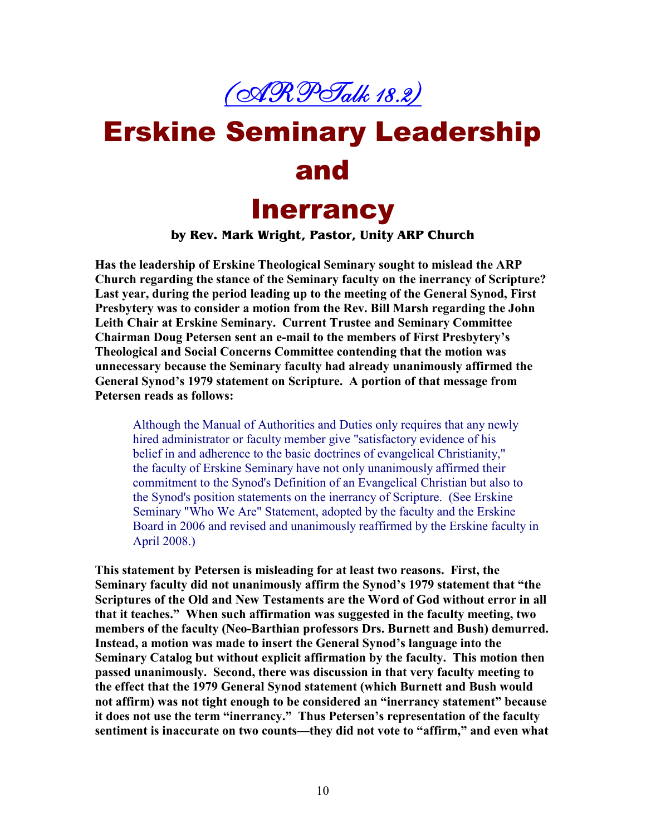

# Erskine Seminary Leadership and

### **Inerrancy**

#### **by Rev. Mark Wright, Pastor, Unity ARP Church**

**Has the leadership of Erskine Theological Seminary sought to mislead the ARP Church regarding the stance of the Seminary faculty on the inerrancy of Scripture? Last year, during the period leading up to the meeting of the General Synod, First Presbytery was to consider a motion from the Rev. Bill Marsh regarding the John Leith Chair at Erskine Seminary. Current Trustee and Seminary Committee Chairman Doug Petersen sent an e-mail to the members of First Presbytery's Theological and Social Concerns Committee contending that the motion was unnecessary because the Seminary faculty had already unanimously affirmed the General Synod's 1979 statement on Scripture. A portion of that message from Petersen reads as follows:** 

Although the Manual of Authorities and Duties only requires that any newly hired administrator or faculty member give "satisfactory evidence of his belief in and adherence to the basic doctrines of evangelical Christianity," the faculty of Erskine Seminary have not only unanimously affirmed their commitment to the Synod's Definition of an Evangelical Christian but also to the Synod's position statements on the inerrancy of Scripture. (See Erskine Seminary "Who We Are" Statement, adopted by the faculty and the Erskine Board in 2006 and revised and unanimously reaffirmed by the Erskine faculty in April 2008.)

**This statement by Petersen is misleading for at least two reasons. First, the Seminary faculty did not unanimously affirm the Synod's 1979 statement that "the Scriptures of the Old and New Testaments are the Word of God without error in all that it teaches." When such affirmation was suggested in the faculty meeting, two**  members of the faculty (Neo-Barthian professors Drs. Burnett and Bush) demurred. **Instead, a motion was made to insert the General Synod's language into the Seminary Catalog but without explicit affirmation by the faculty. This motion then passed unanimously. Second, there was discussion in that very faculty meeting to the effect that the 1979 General Synod statement (which Burnett and Bush would not affirm) was not tight enough to be considered an "inerrancy statement" because it does not use the term "inerrancy." Thus Petersen's representation of the faculty sentiment is inaccurate on two counts—they did not vote to "affirm," and even what**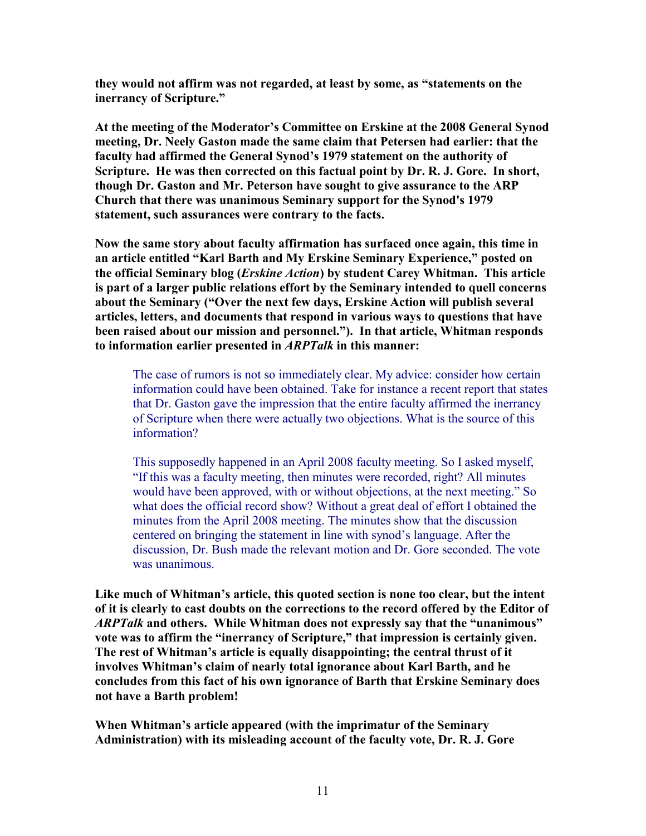**they would not affirm was not regarded, at least by some, as "statements on the inerrancy of Scripture."** 

**At the meeting of the Moderator's Committee on Erskine at the 2008 General Synod**  meeting, Dr. Neely Gaston made the same claim that Petersen had earlier: that the **faculty had affirmed the General Synod's 1979 statement on the authority of Scripture. He was then corrected on this factual point by Dr. R. J. Gore. In short, though Dr. Gaston and Mr. Peterson have sought to give assurance to the ARP Church that there was unanimous Seminary support for the Synod's 1979 statement, such assurances were contrary to the facts.** 

**ow the same story about faculty affirmation has surfaced once again, this time in an article entitled "Karl Barth and My Erskine Seminary Experience," posted on the official Seminary blog (***Erskine Action***) by student Carey Whitman. This article is part of a larger public relations effort by the Seminary intended to quell concerns about the Seminary ("Over the next few days, Erskine Action will publish several articles, letters, and documents that respond in various ways to questions that have been raised about our mission and personnel."). In that article, Whitman responds to information earlier presented in** *ARPTalk* **in this manner:** 

The case of rumors is not so immediately clear. My advice: consider how certain information could have been obtained. Take for instance a recent report that states that Dr. Gaston gave the impression that the entire faculty affirmed the inerrancy of Scripture when there were actually two objections. What is the source of this information?

This supposedly happened in an April 2008 faculty meeting. So I asked myself, "If this was a faculty meeting, then minutes were recorded, right? All minutes would have been approved, with or without objections, at the next meeting." So what does the official record show? Without a great deal of effort I obtained the minutes from the April 2008 meeting. The minutes show that the discussion centered on bringing the statement in line with synod's language. After the discussion, Dr. Bush made the relevant motion and Dr. Gore seconded. The vote was unanimous.

**Like much of Whitman's article, this quoted section is none too clear, but the intent of it is clearly to cast doubts on the corrections to the record offered by the Editor of**  *ARPTalk* **and others. While Whitman does not expressly say that the "unanimous" vote was to affirm the "inerrancy of Scripture," that impression is certainly given. The rest of Whitman's article is equally disappointing; the central thrust of it involves Whitman's claim of nearly total ignorance about Karl Barth, and he concludes from this fact of his own ignorance of Barth that Erskine Seminary does not have a Barth problem!** 

**When Whitman's article appeared (with the imprimatur of the Seminary Administration) with its misleading account of the faculty vote, Dr. R. J. Gore**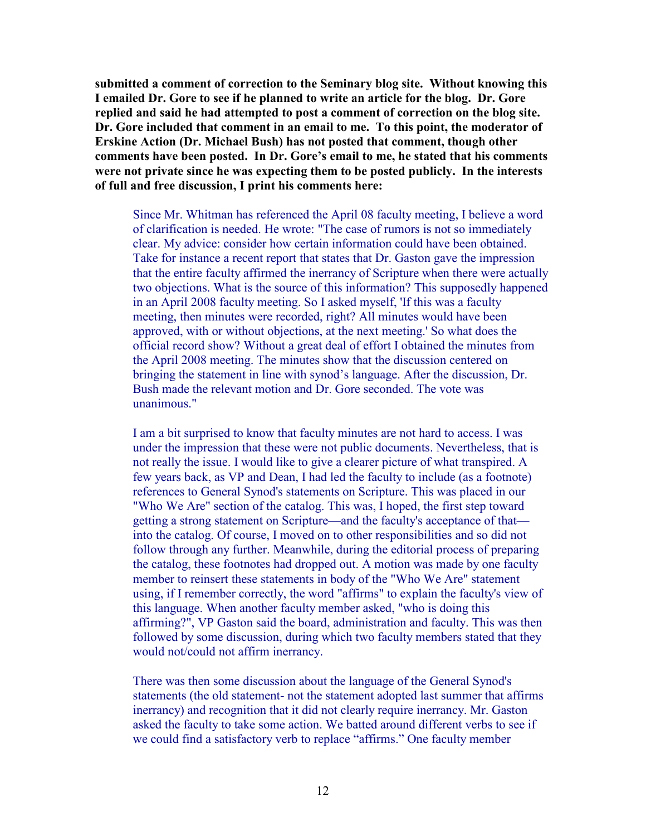**submitted a comment of correction to the Seminary blog site. Without knowing this I emailed Dr. Gore to see if he planned to write an article for the blog. Dr. Gore replied and said he had attempted to post a comment of correction on the blog site. Dr. Gore included that comment in an email to me. To this point, the moderator of Erskine Action (Dr. Michael Bush) has not posted that comment, though other comments have been posted. In Dr. Gore's email to me, he stated that his comments were not private since he was expecting them to be posted publicly. In the interests of full and free discussion, I print his comments here:** 

Since Mr. Whitman has referenced the April 08 faculty meeting, I believe a word of clarification is needed. He wrote: "The case of rumors is not so immediately clear. My advice: consider how certain information could have been obtained. Take for instance a recent report that states that Dr. Gaston gave the impression that the entire faculty affirmed the inerrancy of Scripture when there were actually two objections. What is the source of this information? This supposedly happened in an April 2008 faculty meeting. So I asked myself, 'If this was a faculty meeting, then minutes were recorded, right? All minutes would have been approved, with or without objections, at the next meeting.' So what does the official record show? Without a great deal of effort I obtained the minutes from the April 2008 meeting. The minutes show that the discussion centered on bringing the statement in line with synod's language. After the discussion, Dr. Bush made the relevant motion and Dr. Gore seconded. The vote was unanimous."

I am a bit surprised to know that faculty minutes are not hard to access. I was under the impression that these were not public documents. Nevertheless, that is not really the issue. I would like to give a clearer picture of what transpired. A few years back, as VP and Dean, I had led the faculty to include (as a footnote) references to General Synod's statements on Scripture. This was placed in our "Who We Are" section of the catalog. This was, I hoped, the first step toward getting a strong statement on Scripture—and the faculty's acceptance of that into the catalog. Of course, I moved on to other responsibilities and so did not follow through any further. Meanwhile, during the editorial process of preparing the catalog, these footnotes had dropped out. A motion was made by one faculty member to reinsert these statements in body of the "Who We Are" statement using, if I remember correctly, the word "affirms" to explain the faculty's view of this language. When another faculty member asked, "who is doing this affirming?", VP Gaston said the board, administration and faculty. This was then followed by some discussion, during which two faculty members stated that they would not/could not affirm inerrancy.

There was then some discussion about the language of the General Synod's statements (the old statement- not the statement adopted last summer that affirms inerrancy) and recognition that it did not clearly require inerrancy. Mr. Gaston asked the faculty to take some action. We batted around different verbs to see if we could find a satisfactory verb to replace "affirms." One faculty member